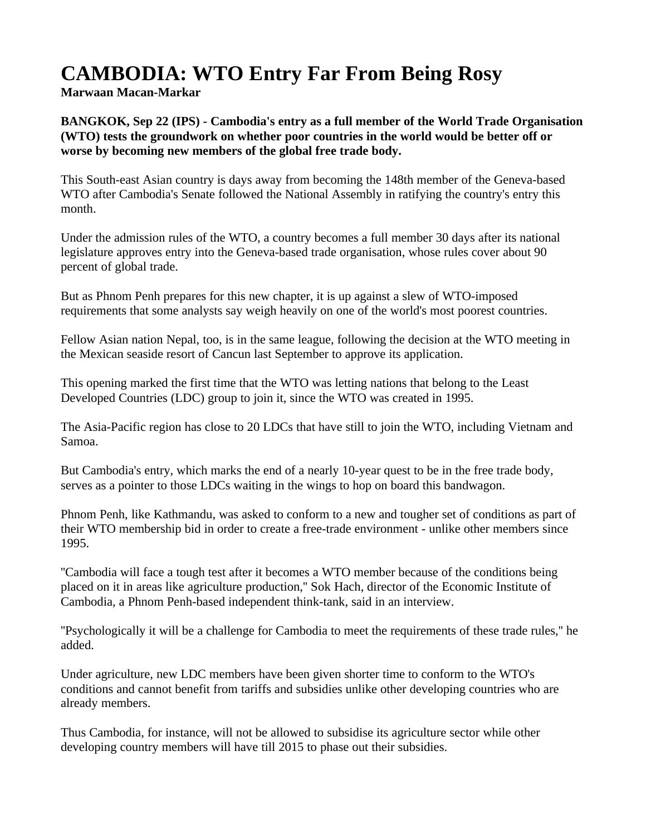## **CAMBODIA: WTO Entry Far From Being Rosy**

**Marwaan Macan-Markar**

**BANGKOK, Sep 22 (IPS) - Cambodia's entry as a full member of the World Trade Organisation (WTO) tests the groundwork on whether poor countries in the world would be better off or worse by becoming new members of the global free trade body.**

This South-east Asian country is days away from becoming the 148th member of the Geneva-based WTO after Cambodia's Senate followed the National Assembly in ratifying the country's entry this month.

Under the admission rules of the WTO, a country becomes a full member 30 days after its national legislature approves entry into the Geneva-based trade organisation, whose rules cover about 90 percent of global trade.

But as Phnom Penh prepares for this new chapter, it is up against a slew of WTO-imposed requirements that some analysts say weigh heavily on one of the world's most poorest countries.

Fellow Asian nation Nepal, too, is in the same league, following the decision at the WTO meeting in the Mexican seaside resort of Cancun last September to approve its application.

This opening marked the first time that the WTO was letting nations that belong to the Least Developed Countries (LDC) group to join it, since the WTO was created in 1995.

The Asia-Pacific region has close to 20 LDCs that have still to join the WTO, including Vietnam and Samoa.

But Cambodia's entry, which marks the end of a nearly 10-year quest to be in the free trade body, serves as a pointer to those LDCs waiting in the wings to hop on board this bandwagon.

Phnom Penh, like Kathmandu, was asked to conform to a new and tougher set of conditions as part of their WTO membership bid in order to create a free-trade environment - unlike other members since 1995.

''Cambodia will face a tough test after it becomes a WTO member because of the conditions being placed on it in areas like agriculture production,'' Sok Hach, director of the Economic Institute of Cambodia, a Phnom Penh-based independent think-tank, said in an interview.

''Psychologically it will be a challenge for Cambodia to meet the requirements of these trade rules,'' he added.

Under agriculture, new LDC members have been given shorter time to conform to the WTO's conditions and cannot benefit from tariffs and subsidies unlike other developing countries who are already members.

Thus Cambodia, for instance, will not be allowed to subsidise its agriculture sector while other developing country members will have till 2015 to phase out their subsidies.